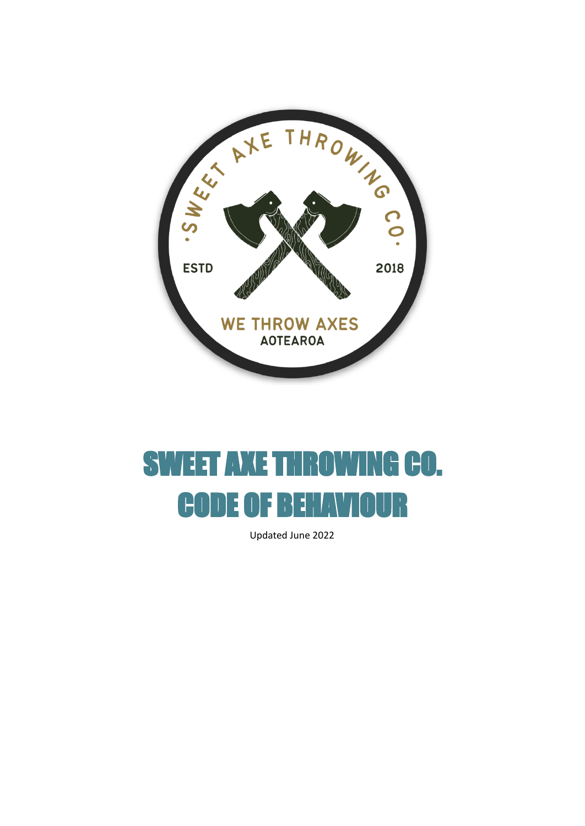

# SWEET AXE THROWING CO. CODE OF BEHAVIOUR

Updated June 2022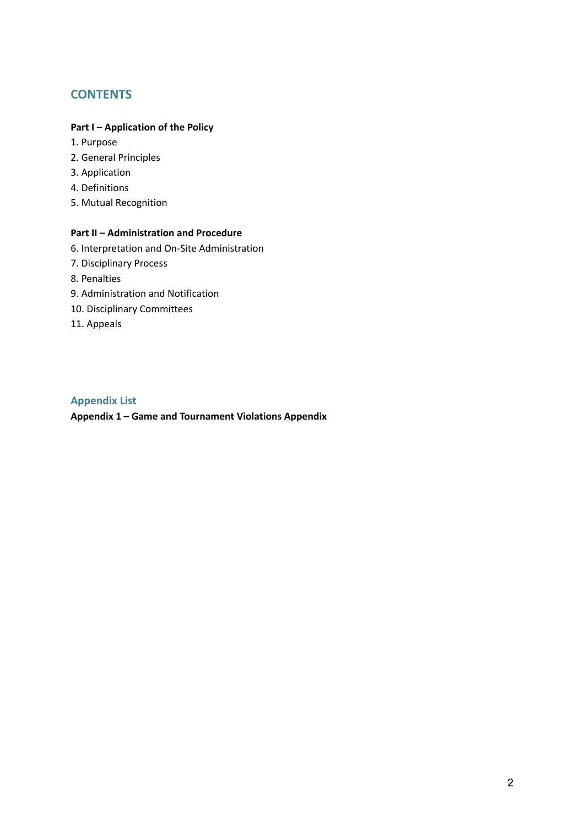# **CONTENTS**

#### **Part I – Application of the Policy**

- 1. Purpose
- 2. General Principles
- 3. Application
- 4. Definitions
- 5. Mutual Recognition

# **Part II – Administration and Procedure**

- 6. Interpretation and On-Site Administration
- 7. Disciplinary Process
- 8. Penalties
- 9. Administration and Notification
- 10. Disciplinary Committees
- 11. Appeals

## **Appendix List**

**Appendix 1 – Game and Tournament Violations Appendix**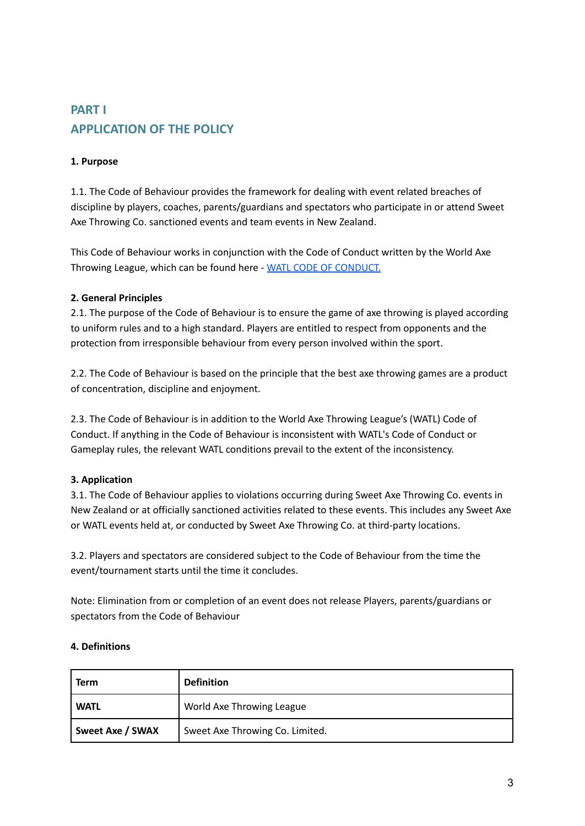# **PART I APPLICATION OF THE POLICY**

# **1. Purpose**

1.1. The Code of Behaviour provides the framework for dealing with event related breaches of discipline by players, coaches, parents/guardians and spectators who participate in or attend Sweet Axe Throwing Co. sanctioned events and team events in New Zealand.

This Code of Behaviour works in conjunction with the Code of Conduct written by the World Axe Throwing League, which can be found here - WATL CODE OF [CONDUCT.](https://worldaxethrowingleague.com/axe-throwing-rules/)

# **2. General Principles**

2.1. The purpose of the Code of Behaviour is to ensure the game of axe throwing is played according to uniform rules and to a high standard. Players are entitled to respect from opponents and the protection from irresponsible behaviour from every person involved within the sport.

2.2. The Code of Behaviour is based on the principle that the best axe throwing games are a product of concentration, discipline and enjoyment.

2.3. The Code of Behaviour is in addition to the World Axe Throwing League's (WATL) Code of Conduct. If anything in the Code of Behaviour is inconsistent with WATL's Code of Conduct or Gameplay rules, the relevant WATL conditions prevail to the extent of the inconsistency.

# **3. Application**

3.1. The Code of Behaviour applies to violations occurring during Sweet Axe Throwing Co. events in New Zealand or at officially sanctioned activities related to these events. This includes any Sweet Axe or WATL events held at, or conducted by Sweet Axe Throwing Co. at third-party locations.

3.2. Players and spectators are considered subject to the Code of Behaviour from the time the event/tournament starts until the time it concludes.

Note: Elimination from or completion of an event does not release Players, parents/guardians or spectators from the Code of Behaviour

## **4. Definitions**

| Term             | <b>Definition</b>               |  |
|------------------|---------------------------------|--|
| <b>WATL</b>      | World Axe Throwing League       |  |
| Sweet Axe / SWAX | Sweet Axe Throwing Co. Limited. |  |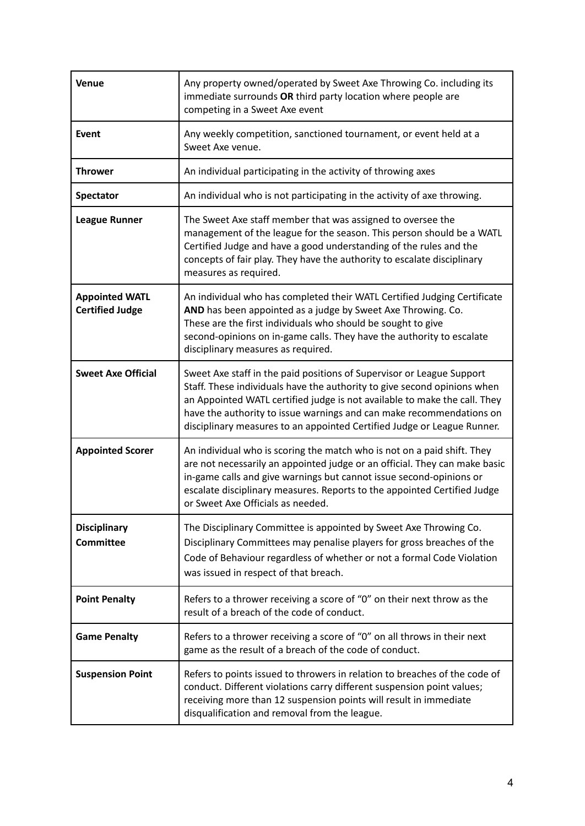| Venue                                           | Any property owned/operated by Sweet Axe Throwing Co. including its<br>immediate surrounds OR third party location where people are<br>competing in a Sweet Axe event                                                                                                                                                                                                             |
|-------------------------------------------------|-----------------------------------------------------------------------------------------------------------------------------------------------------------------------------------------------------------------------------------------------------------------------------------------------------------------------------------------------------------------------------------|
| Event                                           | Any weekly competition, sanctioned tournament, or event held at a<br>Sweet Axe venue.                                                                                                                                                                                                                                                                                             |
| <b>Thrower</b>                                  | An individual participating in the activity of throwing axes                                                                                                                                                                                                                                                                                                                      |
| <b>Spectator</b>                                | An individual who is not participating in the activity of axe throwing.                                                                                                                                                                                                                                                                                                           |
| <b>League Runner</b>                            | The Sweet Axe staff member that was assigned to oversee the<br>management of the league for the season. This person should be a WATL<br>Certified Judge and have a good understanding of the rules and the<br>concepts of fair play. They have the authority to escalate disciplinary<br>measures as required.                                                                    |
| <b>Appointed WATL</b><br><b>Certified Judge</b> | An individual who has completed their WATL Certified Judging Certificate<br>AND has been appointed as a judge by Sweet Axe Throwing. Co.<br>These are the first individuals who should be sought to give<br>second-opinions on in-game calls. They have the authority to escalate<br>disciplinary measures as required.                                                           |
| <b>Sweet Axe Official</b>                       | Sweet Axe staff in the paid positions of Supervisor or League Support<br>Staff. These individuals have the authority to give second opinions when<br>an Appointed WATL certified judge is not available to make the call. They<br>have the authority to issue warnings and can make recommendations on<br>disciplinary measures to an appointed Certified Judge or League Runner. |
| <b>Appointed Scorer</b>                         | An individual who is scoring the match who is not on a paid shift. They<br>are not necessarily an appointed judge or an official. They can make basic<br>in-game calls and give warnings but cannot issue second-opinions or<br>escalate disciplinary measures. Reports to the appointed Certified Judge<br>or Sweet Axe Officials as needed.                                     |
| <b>Disciplinary</b><br><b>Committee</b>         | The Disciplinary Committee is appointed by Sweet Axe Throwing Co.<br>Disciplinary Committees may penalise players for gross breaches of the<br>Code of Behaviour regardless of whether or not a formal Code Violation<br>was issued in respect of that breach.                                                                                                                    |
| <b>Point Penalty</b>                            | Refers to a thrower receiving a score of "0" on their next throw as the<br>result of a breach of the code of conduct.                                                                                                                                                                                                                                                             |
| <b>Game Penalty</b>                             | Refers to a thrower receiving a score of "0" on all throws in their next<br>game as the result of a breach of the code of conduct.                                                                                                                                                                                                                                                |
| <b>Suspension Point</b>                         | Refers to points issued to throwers in relation to breaches of the code of<br>conduct. Different violations carry different suspension point values;<br>receiving more than 12 suspension points will result in immediate<br>disqualification and removal from the league.                                                                                                        |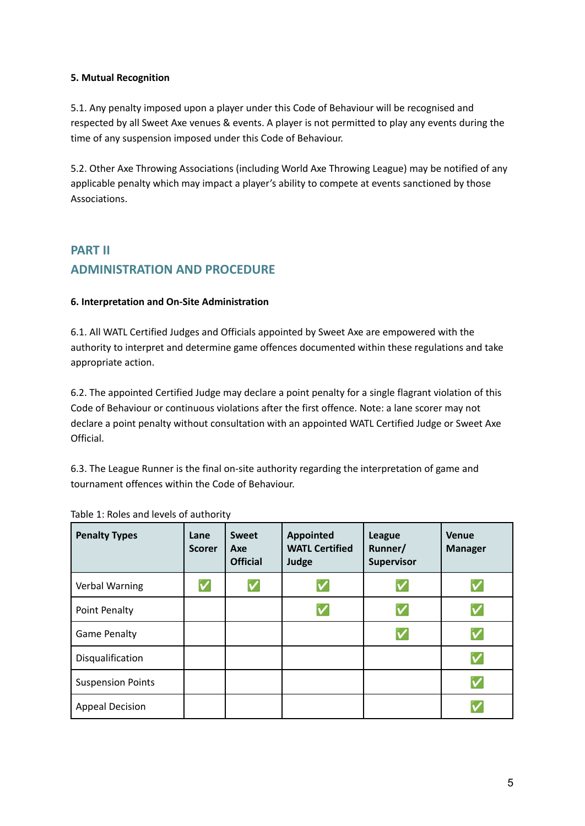#### **5. Mutual Recognition**

5.1. Any penalty imposed upon a player under this Code of Behaviour will be recognised and respected by all Sweet Axe venues & events. A player is not permitted to play any events during the time of any suspension imposed under this Code of Behaviour.

5.2. Other Axe Throwing Associations (including World Axe Throwing League) may be notified of any applicable penalty which may impact a player's ability to compete at events sanctioned by those Associations.

# **PART II ADMINISTRATION AND PROCEDURE**

## **6. Interpretation and On-Site Administration**

6.1. All WATL Certified Judges and Officials appointed by Sweet Axe are empowered with the authority to interpret and determine game offences documented within these regulations and take appropriate action.

6.2. The appointed Certified Judge may declare a point penalty for a single flagrant violation of this Code of Behaviour or continuous violations after the first offence. Note: a lane scorer may not declare a point penalty without consultation with an appointed WATL Certified Judge or Sweet Axe Official.

6.3. The League Runner is the final on-site authority regarding the interpretation of game and tournament offences within the Code of Behaviour.

| <b>Penalty Types</b>     | Lane<br><b>Scorer</b> | <b>Sweet</b><br>Axe<br><b>Official</b> | <b>Appointed</b><br><b>WATL Certified</b><br>Judge | <b>League</b><br>Runner/<br>Supervisor | Venue<br><b>Manager</b> |
|--------------------------|-----------------------|----------------------------------------|----------------------------------------------------|----------------------------------------|-------------------------|
| Verbal Warning           | $\checkmark$          | $\checkmark$                           | V                                                  | V                                      | V                       |
| Point Penalty            |                       |                                        | V                                                  | V                                      | V                       |
| <b>Game Penalty</b>      |                       |                                        |                                                    | V                                      | V                       |
| Disqualification         |                       |                                        |                                                    |                                        | V                       |
| <b>Suspension Points</b> |                       |                                        |                                                    |                                        | V                       |
| <b>Appeal Decision</b>   |                       |                                        |                                                    |                                        |                         |

| Table 1: Roles and levels of authority |
|----------------------------------------|
|                                        |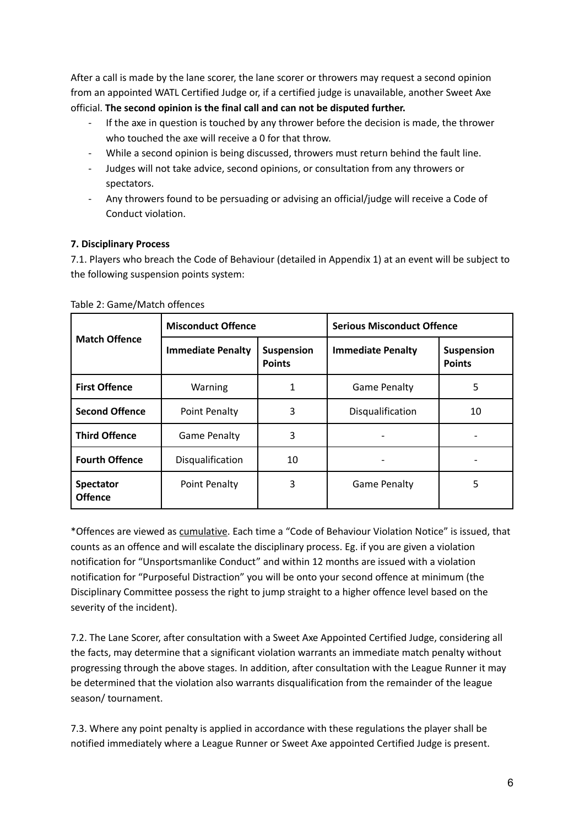After a call is made by the lane scorer, the lane scorer or throwers may request a second opinion from an appointed WATL Certified Judge or, if a certified judge is unavailable, another Sweet Axe official. **The second opinion is the final call and can not be disputed further.**

- If the axe in question is touched by any thrower before the decision is made, the thrower who touched the axe will receive a 0 for that throw.
- While a second opinion is being discussed, throwers must return behind the fault line.
- Judges will not take advice, second opinions, or consultation from any throwers or spectators.
- Any throwers found to be persuading or advising an official/judge will receive a Code of Conduct violation.

## **7. Disciplinary Process**

7.1. Players who breach the Code of Behaviour (detailed in Appendix 1) at an event will be subject to the following suspension points system:

| <b>Match Offence</b>               | <b>Misconduct Offence</b> |                                    | <b>Serious Misconduct Offence</b> |                             |
|------------------------------------|---------------------------|------------------------------------|-----------------------------------|-----------------------------|
|                                    | <b>Immediate Penalty</b>  | <b>Suspension</b><br><b>Points</b> | <b>Immediate Penalty</b>          | Suspension<br><b>Points</b> |
| <b>First Offence</b>               | Warning                   |                                    | <b>Game Penalty</b>               | 5                           |
| <b>Second Offence</b>              | Point Penalty             | 3                                  | Disqualification                  | 10                          |
| <b>Third Offence</b>               | <b>Game Penalty</b>       | 3                                  |                                   |                             |
| <b>Fourth Offence</b>              | Disqualification          | 10                                 |                                   |                             |
| <b>Spectator</b><br><b>Offence</b> | Point Penalty             | 3                                  | <b>Game Penalty</b>               | 5                           |

Table 2: Game/Match offences

\*Offences are viewed as cumulative. Each time a "Code of Behaviour Violation Notice" is issued, that counts as an offence and will escalate the disciplinary process. Eg. if you are given a violation notification for "Unsportsmanlike Conduct" and within 12 months are issued with a violation notification for "Purposeful Distraction" you will be onto your second offence at minimum (the Disciplinary Committee possess the right to jump straight to a higher offence level based on the severity of the incident).

7.2. The Lane Scorer, after consultation with a Sweet Axe Appointed Certified Judge, considering all the facts, may determine that a significant violation warrants an immediate match penalty without progressing through the above stages. In addition, after consultation with the League Runner it may be determined that the violation also warrants disqualification from the remainder of the league season/ tournament.

7.3. Where any point penalty is applied in accordance with these regulations the player shall be notified immediately where a League Runner or Sweet Axe appointed Certified Judge is present.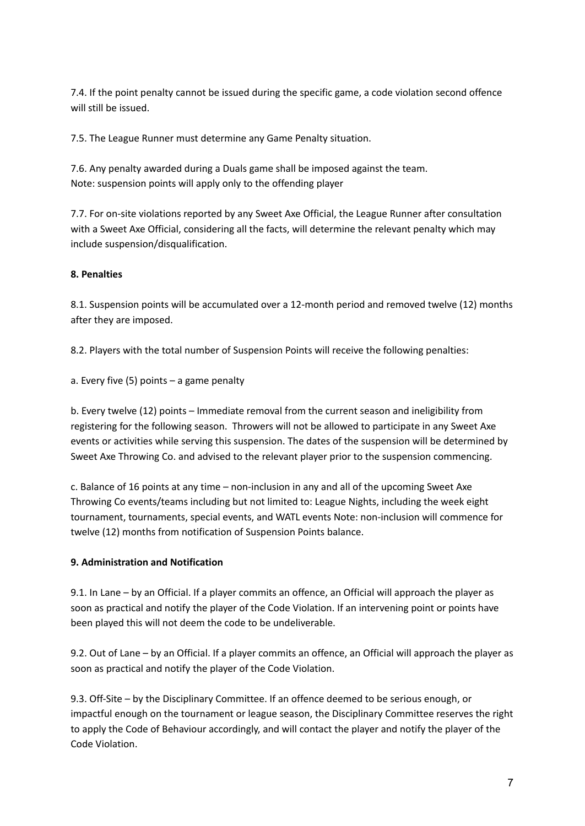7.4. If the point penalty cannot be issued during the specific game, a code violation second offence will still be issued.

7.5. The League Runner must determine any Game Penalty situation.

7.6. Any penalty awarded during a Duals game shall be imposed against the team. Note: suspension points will apply only to the offending player

7.7. For on-site violations reported by any Sweet Axe Official, the League Runner after consultation with a Sweet Axe Official, considering all the facts, will determine the relevant penalty which may include suspension/disqualification.

# **8. Penalties**

8.1. Suspension points will be accumulated over a 12-month period and removed twelve (12) months after they are imposed.

8.2. Players with the total number of Suspension Points will receive the following penalties:

a. Every five (5) points – a game penalty

b. Every twelve (12) points – Immediate removal from the current season and ineligibility from registering for the following season. Throwers will not be allowed to participate in any Sweet Axe events or activities while serving this suspension. The dates of the suspension will be determined by Sweet Axe Throwing Co. and advised to the relevant player prior to the suspension commencing.

c. Balance of 16 points at any time – non-inclusion in any and all of the upcoming Sweet Axe Throwing Co events/teams including but not limited to: League Nights, including the week eight tournament, tournaments, special events, and WATL events Note: non-inclusion will commence for twelve (12) months from notification of Suspension Points balance.

# **9. Administration and Notification**

9.1. In Lane – by an Official. If a player commits an offence, an Official will approach the player as soon as practical and notify the player of the Code Violation. If an intervening point or points have been played this will not deem the code to be undeliverable.

9.2. Out of Lane – by an Official. If a player commits an offence, an Official will approach the player as soon as practical and notify the player of the Code Violation.

9.3. Off-Site – by the Disciplinary Committee. If an offence deemed to be serious enough, or impactful enough on the tournament or league season, the Disciplinary Committee reserves the right to apply the Code of Behaviour accordingly, and will contact the player and notify the player of the Code Violation.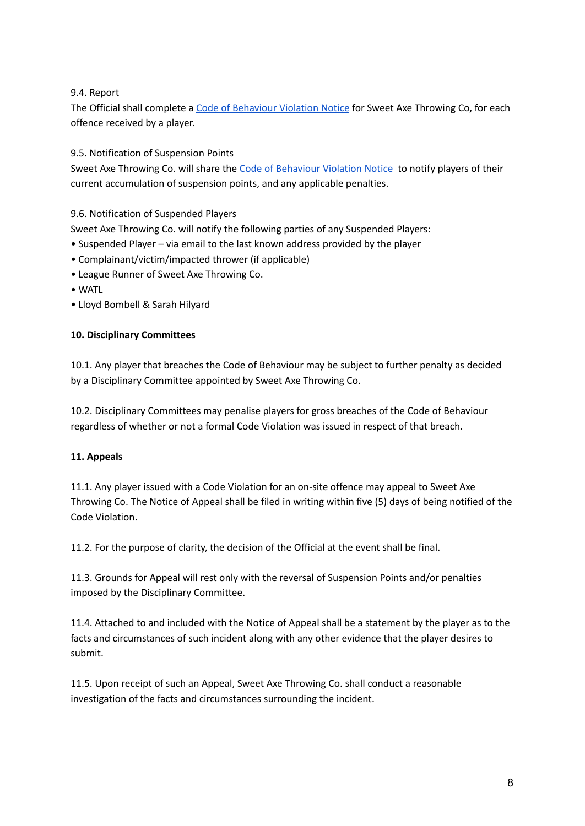9.4. Report

The Official shall complete a Code of [Behaviour](https://docs.google.com/document/u/1/d/1O-pGtHtqpAyrwTizkqQsNTcv5JdlT46mX5y_Bb2hszw/edit) Violation Notice for Sweet Axe Throwing Co, for each offence received by a player.

9.5. Notification of Suspension Points

Sweet Axe Throwing Co. will share the Code of [Behaviour](https://docs.google.com/document/u/1/d/1O-pGtHtqpAyrwTizkqQsNTcv5JdlT46mX5y_Bb2hszw/edit) Violation Notice to notify players of their current accumulation of suspension points, and any applicable penalties.

9.6. Notification of Suspended Players

Sweet Axe Throwing Co. will notify the following parties of any Suspended Players:

- Suspended Player via email to the last known address provided by the player
- Complainant/victim/impacted thrower (if applicable)
- League Runner of Sweet Axe Throwing Co.
- WATL
- Lloyd Bombell & Sarah Hilyard

# **10. Disciplinary Committees**

10.1. Any player that breaches the Code of Behaviour may be subject to further penalty as decided by a Disciplinary Committee appointed by Sweet Axe Throwing Co.

10.2. Disciplinary Committees may penalise players for gross breaches of the Code of Behaviour regardless of whether or not a formal Code Violation was issued in respect of that breach.

## **11. Appeals**

11.1. Any player issued with a Code Violation for an on-site offence may appeal to Sweet Axe Throwing Co. The Notice of Appeal shall be filed in writing within five (5) days of being notified of the Code Violation.

11.2. For the purpose of clarity, the decision of the Official at the event shall be final.

11.3. Grounds for Appeal will rest only with the reversal of Suspension Points and/or penalties imposed by the Disciplinary Committee.

11.4. Attached to and included with the Notice of Appeal shall be a statement by the player as to the facts and circumstances of such incident along with any other evidence that the player desires to submit.

11.5. Upon receipt of such an Appeal, Sweet Axe Throwing Co. shall conduct a reasonable investigation of the facts and circumstances surrounding the incident.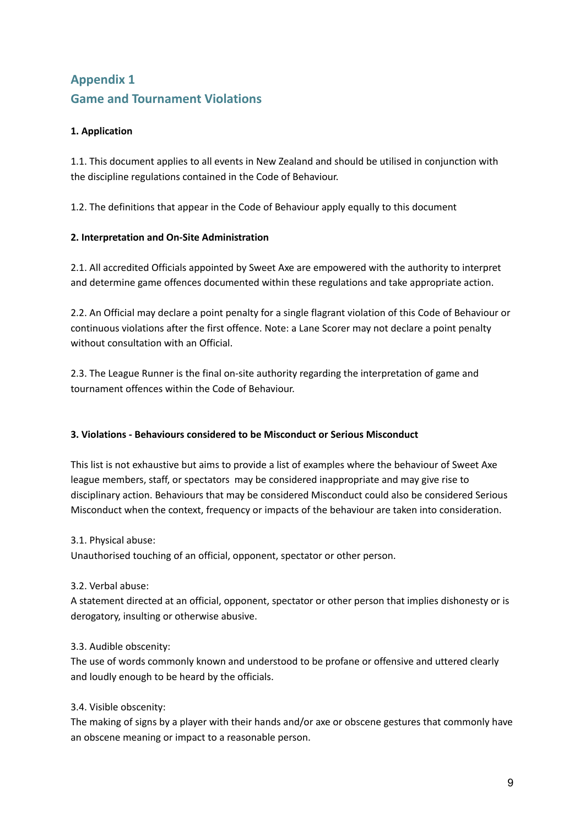# **Appendix 1 Game and Tournament Violations**

# **1. Application**

1.1. This document applies to all events in New Zealand and should be utilised in conjunction with the discipline regulations contained in the Code of Behaviour.

1.2. The definitions that appear in the Code of Behaviour apply equally to this document

# **2. Interpretation and On-Site Administration**

2.1. All accredited Officials appointed by Sweet Axe are empowered with the authority to interpret and determine game offences documented within these regulations and take appropriate action.

2.2. An Official may declare a point penalty for a single flagrant violation of this Code of Behaviour or continuous violations after the first offence. Note: a Lane Scorer may not declare a point penalty without consultation with an Official.

2.3. The League Runner is the final on-site authority regarding the interpretation of game and tournament offences within the Code of Behaviour.

## **3. Violations - Behaviours considered to be Misconduct or Serious Misconduct**

This list is not exhaustive but aims to provide a list of examples where the behaviour of Sweet Axe league members, staff, or spectators may be considered inappropriate and may give rise to disciplinary action. Behaviours that may be considered Misconduct could also be considered Serious Misconduct when the context, frequency or impacts of the behaviour are taken into consideration.

3.1. Physical abuse:

Unauthorised touching of an official, opponent, spectator or other person.

3.2. Verbal abuse:

A statement directed at an official, opponent, spectator or other person that implies dishonesty or is derogatory, insulting or otherwise abusive.

## 3.3. Audible obscenity:

The use of words commonly known and understood to be profane or offensive and uttered clearly and loudly enough to be heard by the officials.

## 3.4. Visible obscenity:

The making of signs by a player with their hands and/or axe or obscene gestures that commonly have an obscene meaning or impact to a reasonable person.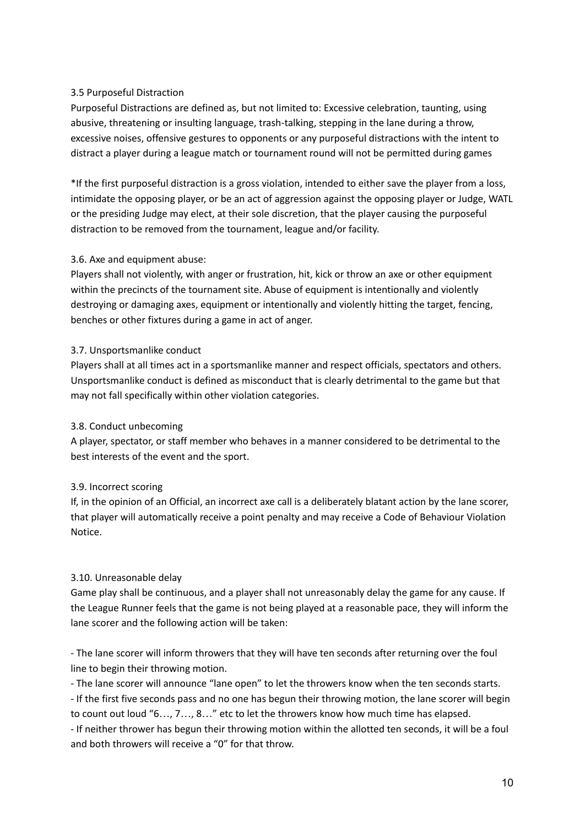# 3.5 Purposeful Distraction

Purposeful Distractions are defined as, but not limited to: Excessive celebration, taunting, using abusive, threatening or insulting language, trash-talking, stepping in the lane during a throw, excessive noises, offensive gestures to opponents or any purposeful distractions with the intent to distract a player during a league match or tournament round will not be permitted during games

\*If the first purposeful distraction is a gross violation, intended to either save the player from a loss, intimidate the opposing player, or be an act of aggression against the opposing player or Judge, WATL or the presiding Judge may elect, at their sole discretion, that the player causing the purposeful distraction to be removed from the tournament, league and/or facility.

# 3.6. Axe and equipment abuse:

Players shall not violently, with anger or frustration, hit, kick or throw an axe or other equipment within the precincts of the tournament site. Abuse of equipment is intentionally and violently destroying or damaging axes, equipment or intentionally and violently hitting the target, fencing, benches or other fixtures during a game in act of anger.

## 3.7. Unsportsmanlike conduct

Players shall at all times act in a sportsmanlike manner and respect officials, spectators and others. Unsportsmanlike conduct is defined as misconduct that is clearly detrimental to the game but that may not fall specifically within other violation categories.

## 3.8. Conduct unbecoming

A player, spectator, or staff member who behaves in a manner considered to be detrimental to the best interests of the event and the sport.

# 3.9. Incorrect scoring

If, in the opinion of an Official, an incorrect axe call is a deliberately blatant action by the lane scorer, that player will automatically receive a point penalty and may receive a Code of Behaviour Violation Notice.

## 3.10. Unreasonable delay

Game play shall be continuous, and a player shall not unreasonably delay the game for any cause. If the League Runner feels that the game is not being played at a reasonable pace, they will inform the lane scorer and the following action will be taken:

- The lane scorer will inform throwers that they will have ten seconds after returning over the foul line to begin their throwing motion.

- The lane scorer will announce "lane open" to let the throwers know when the ten seconds starts.

- If the first five seconds pass and no one has begun their throwing motion, the lane scorer will begin to count out loud "6…, 7…, 8…" etc to let the throwers know how much time has elapsed.

- If neither thrower has begun their throwing motion within the allotted ten seconds, it will be a foul and both throwers will receive a "0" for that throw.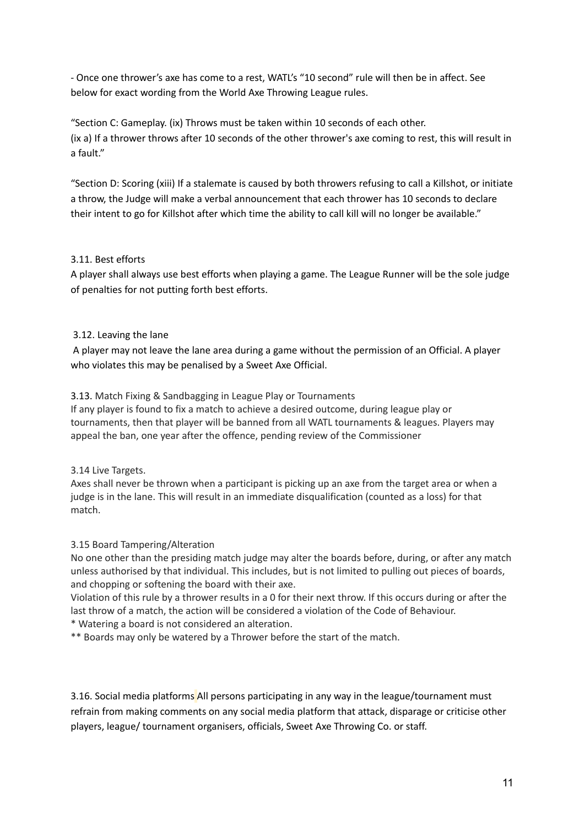- Once one thrower's axe has come to a rest, WATL's "10 second" rule will then be in affect. See below for exact wording from the World Axe Throwing League rules.

"Section C: Gameplay. (ix) Throws must be taken within 10 seconds of each other. (ix a) If a thrower throws after 10 seconds of the other thrower's axe coming to rest, this will result in a fault."

"Section D: Scoring (xiii) If a stalemate is caused by both throwers refusing to call a Killshot, or initiate a throw, the Judge will make a verbal announcement that each thrower has 10 seconds to declare their intent to go for Killshot after which time the ability to call kill will no longer be available."

# 3.11. Best efforts

A player shall always use best efforts when playing a game. The League Runner will be the sole judge of penalties for not putting forth best efforts.

## 3.12. Leaving the lane

A player may not leave the lane area during a game without the permission of an Official. A player who violates this may be penalised by a Sweet Axe Official.

## 3.13. Match Fixing & Sandbagging in League Play or Tournaments

If any player is found to fix a match to achieve a desired outcome, during league play or tournaments, then that player will be banned from all WATL tournaments & leagues. Players may appeal the ban, one year after the offence, pending review of the Commissioner

## 3.14 Live Targets.

Axes shall never be thrown when a participant is picking up an axe from the target area or when a judge is in the lane. This will result in an immediate disqualification (counted as a loss) for that match.

## 3.15 Board Tampering/Alteration

No one other than the presiding match judge may alter the boards before, during, or after any match unless authorised by that individual. This includes, but is not limited to pulling out pieces of boards, and chopping or softening the board with their axe.

Violation of this rule by a thrower results in a 0 for their next throw. If this occurs during or after the last throw of a match, the action will be considered a violation of the Code of Behaviour.

## \* Watering a board is not considered an alteration.

\*\* Boards may only be watered by a Thrower before the start of the match.

3.16. Social media platforms All persons participating in any way in the league/tournament must refrain from making comments on any social media platform that attack, disparage or criticise other players, league/ tournament organisers, officials, Sweet Axe Throwing Co. or staff.